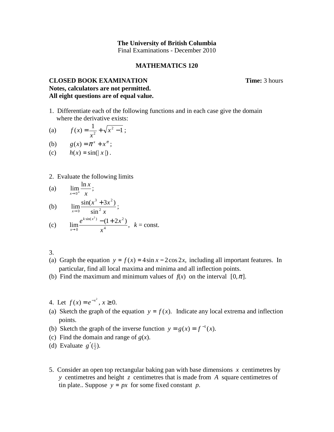## **The University of British Columbia**  Final Examinations - December 2010

## **MATHEMATICS 120**

## **CLOSED BOOK EXAMINATION Time:** 3 hours **Notes, calculators are not permitted. All eight questions are of equal value.**

- 1. Differentiate each of the following functions and in each case give the domain where the derivative exists:
- (a)  $f(x) = \frac{1}{2} + \sqrt{x^2 1}$  $=\frac{1}{x^2}+\sqrt{x^2-1}$ *x*  $f(x) = \frac{1}{2} + \sqrt{x^2 - 1}$ ;
- (b)  $g(x) = \pi^x + x^{\pi}$ ;
- (c)  $h(x) = \sin(|x|)$ .
- 2. Evaluate the following limits

(a) 
$$
\lim_{x \to 0^+} \frac{\ln x}{x};
$$

(b) 
$$
\lim_{x \to 0} \frac{\sin(x^3 + 3x^2)}{\sin^2 x};
$$

(c) 
$$
\lim_{x \to 0} \frac{e^{k \sin(x^2)} - (1 + 2x^2)}{x^4}, \ k = \text{const.}
$$

3.

- (a) Graph the equation  $y = f(x) = 4 \sin x 2 \cos 2x$ , including all important features. In particular, find all local maxima and minima and all inflection points.
- (b) Find the maximum and minimum values of  $f(x)$  on the interval  $[0, \pi]$ .
- 4. Let  $f(x) = e^{-x^2}, x \ge 0$ .
- (a) Sketch the graph of the equation  $y = f(x)$ . Indicate any local extrema and inflection points.
- (b) Sketch the graph of the inverse function  $y = g(x) = f^{-1}(x)$ .
- (c) Find the domain and range of  $g(x)$ .
- (d) Evaluate  $g'(\frac{1}{2})$ .
- 5. Consider an open top rectangular baking pan with base dimensions *x* centimetres by *y* centimetres and height *z* centimetres that is made from *A* square centimetres of tin plate.. Suppose  $y = px$  for some fixed constant *p*.